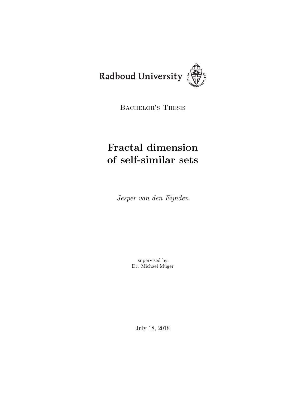

BACHELOR'S THESIS

# Fractal dimension of self-similar sets

Jesper van den Eijnden

supervised by Dr. Michael Müger

July 18, 2018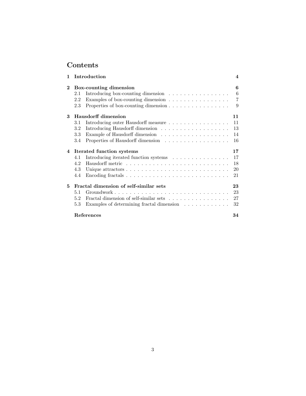## Contents

| 1              |                                        | Introduction                                                            | $\overline{\mathbf{4}}$ |  |  |
|----------------|----------------------------------------|-------------------------------------------------------------------------|-------------------------|--|--|
| $\mathbf{2}$   | Box-counting dimension                 |                                                                         |                         |  |  |
|                | 2.1                                    | Introducing box-counting dimension $\ldots \ldots \ldots \ldots \ldots$ | 6                       |  |  |
|                | 2.2                                    | Examples of box-counting dimension                                      | $\overline{7}$          |  |  |
|                | 2.3                                    | Properties of box-counting dimension                                    | 9                       |  |  |
| 3              | <b>Hausdorff dimension</b><br>11       |                                                                         |                         |  |  |
|                | 3.1                                    | Introducing outer Hausdorff measure                                     | 11                      |  |  |
|                | 3.2                                    |                                                                         | 13                      |  |  |
|                | 3.3                                    |                                                                         | 14                      |  |  |
|                | 3.4                                    | Properties of Hausdorff dimension                                       | 16                      |  |  |
| $\overline{4}$ | Iterated function systems              |                                                                         |                         |  |  |
|                | 4.1                                    | Introducing iterated function systems                                   | 17                      |  |  |
|                | 4.2                                    |                                                                         | 18                      |  |  |
|                | 4.3                                    |                                                                         | 20                      |  |  |
|                | 4.4                                    |                                                                         | 21                      |  |  |
| 5              | Fractal dimension of self-similar sets |                                                                         |                         |  |  |
|                | 5.1                                    |                                                                         | 23                      |  |  |
|                | 5.2                                    | Fractal dimension of self-similar sets                                  | 27                      |  |  |
|                | 5.3                                    | Examples of determining fractal dimension                               | 32                      |  |  |
|                |                                        | References                                                              | 34                      |  |  |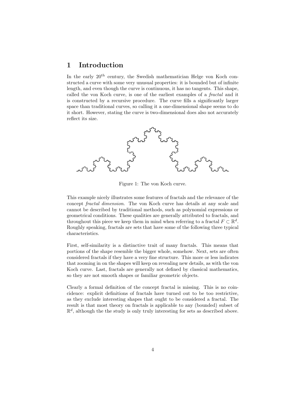## 1 Introduction

In the early  $20<sup>th</sup>$  century, the Swedish mathematician Helge von Koch constructed a curve with some very unusual properties: it is bounded but of infinite length, and even though the curve is continuous, it has no tangents. This shape, called the von Koch curve, is one of the earliest examples of a fractal and it is constructed by a recursive procedure. The curve fills a significantly larger space than traditional curves, so calling it a one-dimensional shape seems to do it short. However, stating the curve is two-dimensional does also not accurately reflect its size.



Figure 1: The von Koch curve.

This example nicely illustrates some features of fractals and the relevance of the concept fractal dimension. The von Koch curve has details at any scale and cannot be described by traditional methods, such as polynomial expressions or geometrical conditions. These qualities are generally attributed to fractals, and throughout this piece we keep them in mind when referring to a fractal  $F \subset \mathbb{R}^d$ . Roughly speaking, fractals are sets that have some of the following three typical characteristics.

First, self-similarity is a distinctive trait of many fractals. This means that portions of the shape resemble the bigger whole, somehow. Next, sets are often considered fractals if they have a very fine structure. This more or less indicates that zooming in on the shapes will keep on revealing new details, as with the von Koch curve. Last, fractals are generally not defined by classical mathematics, so they are not smooth shapes or familiar geometric objects.

Clearly a formal definition of the concept fractal is missing. This is no coincidence: explicit definitions of fractals have turned out to be too restrictive, as they exclude interesting shapes that ought to be considered a fractal. The result is that most theory on fractals is applicable to any (bounded) subset of  $\mathbb{R}^d$ , although the the study is only truly interesting for sets as described above.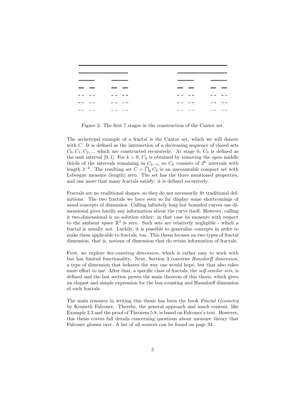| <br><br><br> | <br>   | <br>$\cdots$ |
|--------------|--------|--------------|
| <br><br><br> | .<br>. | <br>         |

Figure 2: The first 7 stages in the construction of the Cantor set.

The archetypal example of a fractal is the Cantor set, which we will denote with C. It is defined as the intersection of a decreasing sequence of closed sets  $C_0, C_1, C_2, \dots$  which are constructed recursively. At stage 0,  $C_0$  is defined as the unit interval [0, 1]. For  $k > 0$ ,  $C_k$  is obtained by removing the open middle thirds of the intervals remaining in  $C_{k-1}$ , so  $C_k$  consists of  $2^k$  intervals with length  $3^{-k}$ . The resulting set  $C = \bigcap_k C_k$  is an uncountable compact set with Lebesgue measure (length) zero. The set has the three mentioned properties, and one more that many fractals satisfy: it is defined recursively.

Fractals are no traditional shapes, so they do not necessarily fit traditional definitions. The two fractals we have seen so far display some shortcomings of usual concepts of dimension. Calling infinitely long but bounded curves one dimensional gives hardly any information about the curve itself. However, calling it two-dimensional is no solution either: in that case its measure with respect to the ambient space  $\mathbb{R}^2$  is zero. Such sets are relatively negligible - which a fractal is usually not. Luckily, it is possible to generalize concepts in order to make them applicable to fractals, too. This thesis focuses on two types of fractal dimension, that is, notions of dimension that do retain information of fractals.

First, we explore *box-counting dimension*, which is rather easy to work with but has limited functionality. Next, Section 3 concerns Hausdorff dimension, a type of dimension that behaves the way one would hope, but that also takes more effort to use. After that, a specific class of fractals, the *self-similar sets*, is defined and the last section proves the main theorem of this thesis, which gives an elegant and simple expression for the box-counting and Hausdorff dimension of such fractals.

The main resource in writing this thesis has been the book Fractal Geometry by Kenneth Falconer. Thereby, the general approach and much content, like Example 2.3 and the proof of Theorem 5.8, is based on Falconer's text. However, this thesis covers full details concerning questions about measure theory that Falconer glosses over. A list of all sources can be found on page 34.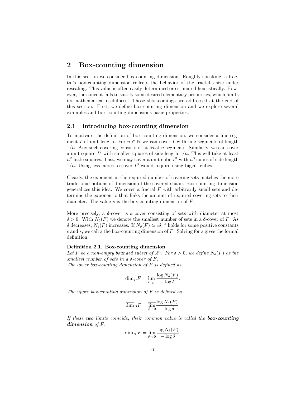## 2 Box-counting dimension

In this section we consider box-counting dimension. Roughly speaking, a fractal's box-counting dimension reflects the behavior of the fractal's size under rescaling. This value is often easily determined or estimated heuristically. However, the concept fails to satisfy some desired elementary properties, which limits its mathematical usefulness. Those shortcomings are addressed at the end of this section. First, we define box-counting dimension and we explore several examples and box-counting dimensions basic properties.

#### 2.1 Introducing box-counting dimension

To motivate the definition of box-counting dimension, we consider a line segment I of unit length. For  $n \in \mathbb{N}$  we can cover I with line segments of length  $1/n$ . Any such covering consists of at least n segments. Similarly, we can cover a unit square  $I^2$  with smaller squares of side length  $1/n$ . This will take at least  $n^2$  little squares. Last, we may cover a unit cube  $I^3$  with  $n^3$  cubes of side length  $1/n$ . Using less cubes to cover  $I^3$  would require using bigger cubes.

Clearly, the exponent in the required number of covering sets matches the more traditional notions of dimension of the covered shape. Box-counting dimension generalizes this idea. We cover a fractal  $F$  with arbitrarily small sets and determine the exponent s that links the amount of required covering sets to their diameter. The value s is the box-counting dimension of F.

More precisely, a  $\delta$ -cover is a cover consisting of sets with diameter at most  $\delta > 0$ . With  $N_{\delta}(F)$  we denote the smallest number of sets in a  $\delta$ -cover of F. As δ decreases,  $N_\delta(F)$  increases. If  $N_\delta(F) \simeq c\delta^{-s}$  holds for some positive constants  $c$  and  $s$ , we call  $s$  the box-counting dimension of  $F$ . Solving for  $s$  gives the formal definition.

#### Definition 2.1. Box-counting dimension

Let F be a non-empty bounded subset of  $\mathbb{R}^n$ . For  $\delta > 0$ , we define  $N_{\delta}(F)$  as the smallest number of sets in a  $\delta$ -cover of F.

The lower box-counting dimension of  $F$  is defined as

$$
\underline{\dim}_B F = \underline{\lim}_{\delta \to 0} \frac{\log N_{\delta}(F)}{-\log \delta}.
$$

The upper box-counting dimension of  $F$  is defined as

$$
\overline{\dim}_B F = \overline{\lim_{\delta \to 0}} \frac{\log N_{\delta}(F)}{-\log \delta}
$$

.

If these two limits coincide, their common value is called the  $box-counting$ dimension of F:

$$
\dim_B F = \lim_{\delta \to 0} \frac{\log N_{\delta}(F)}{-\log \delta}.
$$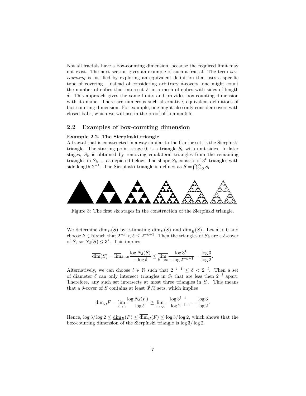Not all fractals have a box-counting dimension, because the required limit may not exist. The next section gives an example of such a fractal. The term boxcounting is justified by exploring an equivalent definition that uses a specific type of covering. Instead of considering arbitrary  $\delta$ -covers, one might count the number of cubes that intersect  $F$  in a mesh of cubes with sides of length δ. This approach gives the same limits and provides box-counting dimension with its name. There are numerous such alternative, equivalent definitions of box-counting dimension. For example, one might also only consider covers with closed balls, which we will use in the proof of Lemma 5.5.

#### 2.2 Examples of box-counting dimension

#### Example 2.2. The Sierpínski triangle

A fractal that is constructed in a way similar to the Cantor set, is the Sierpínski triangle. The starting point, stage 0, is a triangle  $S_0$  with unit sides. In later stages,  $S_k$  is obtained by removing equilateral triangles from the remaining triangles in  $S_{k-1}$ , as depicted below. The shape  $S_k$  consists of 3<sup>k</sup> triangles with side length  $2^{-k}$ . The Sierpínski triangle is defined as  $S = \bigcap_{i=0}^{\infty} S_i$ .



Figure 3: The first six stages in the construction of the Sierpínski triangle.

We determine  $\dim_B(S)$  by estimating  $\dim_B(S)$  and  $\underline{\dim}_B(S)$ . Let  $\delta > 0$  and choose  $k \in \mathbb{N}$  such that  $2^{-k} < \delta \leq 2^{-k+1}$ . Then the triangles of  $S_k$  are a  $\delta$ -cover of S, so  $N_{\delta}(S) \leq 3^k$ . This implies

$$
\overline{\dim}(S) = \overline{\lim}_{\delta \to 0} \frac{\log N_{\delta}(S)}{-\log \delta} \le \overline{\lim}_{k \to \infty} \frac{\log 3^k}{-\log 2^{-k+1}} = \frac{\log 3}{\log 2}.
$$

Alternatively, we can choose  $l \in \mathbb{N}$  such that  $2^{-l-1} \leq \delta < 2^{-l}$ . Then a set of diameter  $\delta$  can only intersect triangles in  $S_l$  that are less then  $2^{-l}$  apart. Therefore, any such set intersects at most three triangles in  $S_l$ . This means that a  $\delta$ -cover of S contains at least  $3^{l}/3$  sets, which implies

$$
\underline{\dim}_B F = \underline{\lim}_{\delta \to 0} \frac{\log N_\delta(F)}{-\log \delta} \ge \underline{\lim}_{l \to \infty} \frac{\log 3^{l-1}}{-\log 2^{-l-1}} = \frac{\log 3}{\log 2}.
$$

Hence,  $\log 3/\log 2 \leq \underline{\dim}_B(F) \leq \overline{\dim}_B(F) \leq \log 3/\log 2$ , which shows that the box-counting dimension of the Sierpínski triangle is  $\log 3 / \log 2$ .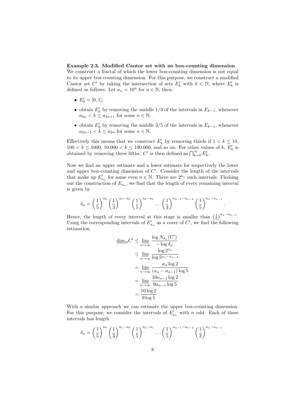#### Example 2.3. Modified Cantor set with no box-counting dimension

We construct a fractal of which the lower box-counting dimension is not equal to its upper box-counting dimension. For this purpose, we construct a modified Cantor set C' by taking the intersection of sets  $E'_k$  with  $k \in \mathbb{N}$ , where  $E'_k$  is defined as follows. Let  $a_n = 10^n$  for  $n \in \mathbb{N}$ , then:

- $E'_0 = [0, 1];$
- obtain  $E'_k$  by removing the middle 1/3 of the intervals in  $E_{k-1}$ , whenever  $a_{2n} < k \leq a_{2n+1}$  for some  $n \in \mathbb{N}$ ;
- obtain  $E'_k$  by removing the middle 3/5 of the intervals in  $E_{k-1}$ , whenever  $a_{2n-1} < k \le a_{2n}$  for some  $n \in \mathbb{N}$ .

Effectively this means that we construct  $E'_k$  by removing thirds if  $1 < k \leq 10$ ,  $100 < k \le 1000, 10.000 < k \le 100.000$ , and so on. For other values of k,  $E'_k$  is obtained by removing three fifths. C' is then defined as  $\bigcap_{k=0}^{\infty} E'_k$ .

Now we find an upper estimate and a lower estimate for respectively the lower and upper box-counting dimension of  $C'$ . Consider the length of the intervals that make up  $E'_{a_n}$  for some even  $n \in \mathbb{N}$ . There are  $2^{a_n}$  such intervals. Fleshing out the construction of  $E_{a_n}$ , we find that the length of every remaining interval is given by

$$
\delta_n = \left(\frac{1}{5}\right)^{a_0} \left(\frac{1}{3}\right)^{a_1 - a_0} \left(\frac{1}{5}\right)^{a_2 - a_1} \dots \left(\frac{1}{3}\right)^{a_{n-1} - a_{n-2}} \left(\frac{1}{5}\right)^{a_n - a_{n-1}}
$$

.

Hence, the length of every interval at this stage is smaller than  $\left(\frac{1}{5}\right)^{a_n-a_{n-1}}$ . Using the corresponding intervals of  $E'_{a_n}$  as a cover of C', we find the following estimation.

$$
\underline{\dim}_{B} C' \le \underline{\lim}_{n \to \infty} \frac{\log N_{\delta_n}(C')}{-\log \delta_n}
$$
  

$$
\le \underline{\lim}_{n \to \infty} \frac{\log 2^{a_n}}{\log 5^{a_n - a_{n-1}}}
$$
  

$$
= \underline{\lim}_{n \to \infty} \frac{a_n \log 2}{(a_n - a_{n-1}) \log 5}
$$
  

$$
= \underline{\lim}_{n \to \infty} \frac{10a_{n-1} \log 2}{9a_{n-1} \log 5}
$$
  

$$
= \frac{10 \log 2}{9 \log 5}
$$

With a similar approach we can estimate the upper box-counting dimension. For this purpose, we consider the intervals of  $E'_{a_n}$  with n odd. Each of these intervals has length

$$
\delta_n = \left(\frac{1}{5}\right)^{a_0} \left(\frac{1}{3}\right)^{a_1 - a_0} \left(\frac{1}{5}\right)^{a_2 - a_1} \cdots \left(\frac{1}{5}\right)^{a_{n-1} - a_{n-2}} \left(\frac{1}{3}\right)^{a_n - a_{n-1}}.
$$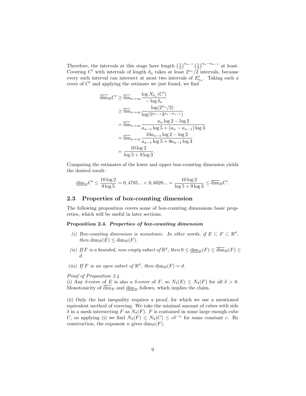Therefore, the intervals at this stage have length  $\left(\frac{1}{5}\right)^{a_{n-1}}\left(\frac{1}{3}\right)^{a_n-a_{n-1}}$  at least. Covering C' with intervals of length  $\delta_n$  takes at least  $2^{a_n}/2$  intervals, because every such interval can intersect at most two intervals of  $E'_{a_n}$ . Taking such a cover of  $C'$  and applying the estimate we just found, we find

$$
\overline{\dim}_{B} C' \ge \overline{\lim}_{n \to \infty} \frac{\log N_{\delta_n}(C')}{-\log \delta_n}
$$
\n
$$
\ge \overline{\lim}_{n \to \infty} \frac{\log(2^{a_n}/2)}{\log(5^{a_{n-1}}3^{a_n-a_{n-1}})}
$$
\n
$$
= \overline{\lim}_{n \to \infty} \frac{a_n \log 2 - \log 2}{a_{n-1} \log 5 + (a_n - a_{n-1}) \log 3}
$$
\n
$$
= \overline{\lim}_{n \to \infty} \frac{10a_{n-1} \log 2 - \log 2}{a_{n-1} \log 5 + 9a_{n-1} \log 3}
$$
\n
$$
= \frac{10 \log 2}{\log 5 + 9 \log 3}.
$$

Comparing the estimates of the lower and upper box-counting dimension yields the desired result:

$$
\underline{\dim}_B C' \leq \frac{10\log 2}{9\log 5} = 0,4785... < 0,6028... = \frac{10\log 2}{\log 5 + 9\log 3} \leq \overline{\dim}_B C'.
$$

#### 2.3 Properties of box-counting dimension

The following proposition covers some of box-counting dimensions basic properties, which will be useful in later sections.

#### Proposition 2.4. Properties of box-counting dimension

- (i) Box-counting dimension is monotonic. In other words, if  $E \subset F \subset \mathbb{R}^d$ , then  $\dim_B(E) \leq \dim_B(F)$ .
- (ii) If F is a bounded, non-empty subset of  $\mathbb{R}^d$ , then  $0 \le \underline{\dim}_B(F) \le \overline{\dim}_B(F) \le$ d.
- (iii) If F is an open subset of  $\mathbb{R}^d$ , then  $\dim_B(F) = d$ .

Proof of Proposition 2.4

(i) Any  $\delta$ -cover of E is also a  $\delta$ -cover of F, so  $N_{\delta}(E) \leq N_{\delta}(F)$  for all  $\delta > 0$ . Monotonicity of  $\dim_B$  and  $\underline{\dim}_B$  follows, which implies the claim.

(ii) Only the last inequality requires a proof, for which we use a mentioned equivalent method of covering. We take the minimal amount of cubes with side  $\delta$  in a mesh intersecting F as  $N_{\delta}(F)$ . F is contained in some large enough cube C, so applying (i) we find  $N_{\delta}(F) \leq N_{\delta}(C) \leq c\delta^{-n}$  for some constant c. By construction, the exponent n gives  $\dim_B(F)$ .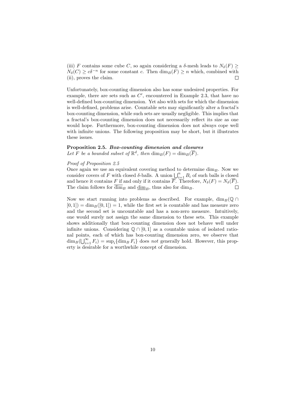(iii) F contains some cube C, so again considering a  $\delta$ -mesh leads to  $N_{\delta}(F) \geq$  $N_{\delta}(C) \geq c\delta^{-n}$  for some constant c. Then  $\dim_B(F) \geq n$  which, combined with (ii), proves the claim.  $\Box$ 

Unfortunately, box-counting dimension also has some undesired properties. For example, there are sets such as  $C'$ , encountered in Example 2.3, that have no well-defined box-counting dimension. Yet also with sets for which the dimension is well-defined, problems arise. Countable sets may significantly alter a fractal's box-counting dimension, while such sets are usually negligible. This implies that a fractal's box-counting dimension does not necessarily reflect its size as one would hope. Furthermore, box-counting dimension does not always cope well with infinite unions. The following proposition may be short, but it illustrates these issues.

#### Proposition 2.5. Box-counting dimension and closures

Let F be a bounded subset of  $\mathbb{R}^d$ , then  $\dim_B(F) = \dim_B(\overline{F})$ .

#### Proof of Proposition 2.5

Once again we use an equivalent covering method to determine  $\dim_B$ . Now we consider covers of F with closed  $\delta$ -balls. A union  $\bigcup_{i=1}^{n} B_i$  of such balls is closed and hence it contains F if and only if it contains  $\overline{F}$ . Therefore,  $N_{\delta}(F) = N_{\delta}(\overline{F})$ .  $\Box$ The claim follows for  $\dim_B$  and  $\underline{\dim}_B$ , thus also for  $\dim_B$ .

Now we start running into problems as described. For example,  $\dim_B(\mathbb{Q} \cap$  $[0, 1]$  = dim<sub>B</sub>([0, 1]) = 1, while the first set is countable and has measure zero and the second set is uncountable and has a non-zero measure. Intuitively, one would surely not assign the same dimension to these sets. This example shows additionally that box-counting dimension does not behave well under infinite unions. Considering  $\mathbb{Q} \cap [0,1]$  as a countable union of isolated rational points, each of which has box-counting dimension zero, we observe that  $\dim_B(\bigcup_{i=1}^{\infty} F_i) = \sup_i \{\dim_B F_i\}$  does not generally hold. However, this property is desirable for a worthwhile concept of dimension.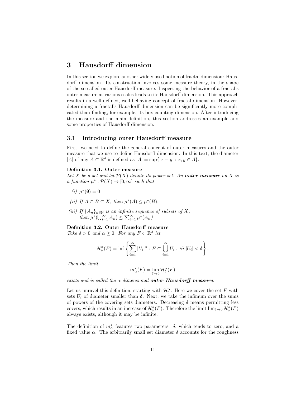## 3 Hausdorff dimension

In this section we explore another widely used notion of fractal dimension: Hausdorff dimension. Its construction involves some measure theory, in the shape of the so-called outer Hausdorff measure. Inspecting the behavior of a fractal's outer measure at various scales leads to its Hausdorff dimension. This approach results in a well-defined, well-behaving concept of fractal dimension. However, determining a fractal's Hausdorff dimension can be significantly more complicated than finding, for example, its box-counting dimension. After introducing the measure and the main definition, this section addresses an example and some properties of Hausdorff dimension.

#### 3.1 Introducing outer Hausdorff measure

First, we need to define the general concept of outer measures and the outer measure that we use to define Hausdorff dimension. In this text, the diameter |A| of any  $A \subset \mathbb{R}^d$  is defined as  $|A| = \sup\{|x - y| : x, y \in A\}.$ 

#### Definition 3.1. Outer measure

Let X be a set and let  $\mathcal{P}(X)$  denote its power set. An **outer measure** on X is a function  $\mu^* : \mathcal{P}(X) \to [0, \infty]$  such that

- $(i)$   $\mu^*(\emptyset) = 0$
- (ii) If  $A \subset B \subset X$ , then  $\mu^*(A) \leq \mu^*(B)$ .
- (iii) If  $\{A_n\}_{n\in\mathbb{N}}$  is an infinite sequence of subsets of X, then  $\mu^*(\bigcup_{i=1}^{\infty} A_n) \leq \sum_{i=1}^{\infty} \mu^*(A_n)$

Definition 3.2. Outer Hausdorff measure

Take  $\delta > 0$  and  $\alpha \geq 0$ . For any  $F \subset \mathbb{R}^d$  let

$$
\mathcal{H}_{\delta}^{\alpha}(F) = \inf \left\{ \sum_{i=1}^{\infty} |U_i|^{\alpha} : F \subset \bigcup_{i=1}^{\infty} U_i, \ \forall i \ |U_i| < \delta \right\}.
$$

Then the limit

$$
m_{\alpha}^*(F) = \lim_{\delta \to 0} \mathcal{H}_{\delta}^{\alpha}(F)
$$

exists and is called the  $\alpha$ -dimensional outer Hausdorff measure.

Let us unravel this definition, starting with  $\mathcal{H}_{\delta}^{\alpha}$ . Here we cover the set F with sets  $U_i$  of diameter smaller than  $\delta$ . Next, we take the infimum over the sums of powers of the covering sets diameters. Decreasing  $\delta$  means permitting less covers, which results in an increase of  $\mathcal{H}_{\delta}^{\alpha}(F)$ . Therefore the limit  $\lim_{\delta\to 0}\mathcal{H}_{\delta}^{\alpha}(F)$ always exists, although it may be infinite.

The definition of  $m^*_{\alpha}$  features two parameters:  $\delta$ , which tends to zero, and a fixed value  $\alpha$ . The arbitrarily small set diameter  $\delta$  accounts for the roughness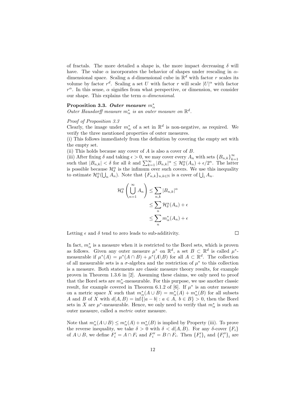of fractals. The more detailed a shape is, the more impact decreasing  $\delta$  will have. The value  $\alpha$  incorporates the behavior of shapes under rescaling in  $\alpha$ dimensional space. Scaling a d-dimensional cube in  $\mathbb{R}^d$  with factor r scales its volume by factor  $r^d$ . Scaling a set U with factor r will scale  $|U|^{\alpha}$  with factor  $r^{\alpha}$ . In this sense,  $\alpha$  signifies from what perspective, or dimension, we consider our shape. This explains the term  $\alpha$ -dimensional.

## Proposition 3.3. Outer measure  $m^*_\alpha$

Outer Hausdorff measure  $m^*_{\alpha}$  is an outer measure on  $\mathbb{R}^d$ .

#### Proof of Proposition 3.3

Clearly, the image under  $m^*_{\alpha}$  of a set in  $\mathbb{R}^d$  is non-negative, as required. We verify the three mentioned properties of outer measures.

(i) This follows immediately from the definition by covering the empty set with the empty set.

(ii) This holds because any cover of  $A$  is also a cover of  $B$ .

(iii) After fixing  $\delta$  and taking  $\epsilon > 0$ , we may cover every  $A_n$  with sets  ${B_{n,k}}_{k=0}^{\infty}$  $k=1$ such that  $|B_{n,k}| < \delta$  for all k and  $\sum_{k=1}^{\infty} |B_{n,k}|^{\alpha} \leq \mathcal{H}_{\delta}^{\alpha}(A_n) + \epsilon/2^n$ . The latter is possible because  $\mathcal{H}_{\delta}^{\alpha}$  is the infimum over such covers. We use this inequality to estimate  $\mathcal{H}_{\delta}^{\alpha}(\bigcup_{n} A_{n})$ . Note that  $\{F_{n,k}\}_{n,k\in\mathbb{N}}$  is a cover of  $\bigcup_{i} A_{n}$ .

$$
\mathcal{H}_{\delta}^{\alpha}\left(\bigcup_{n=1}^{\infty} A_{n}\right) \leq \sum_{n,k} |B_{n,k}|^{\alpha}
$$

$$
\leq \sum_{n} \mathcal{H}_{\delta}^{\alpha}(A_{n}) + \epsilon
$$

$$
\leq \sum_{n} m_{\alpha}^{*}(A_{n}) + \epsilon
$$

 $\Box$ 

Letting  $\epsilon$  and  $\delta$  tend to zero leads to sub-additivity.

In fact,  $m^*_{\alpha}$  is a measure when it is restricted to the Borel sets, which is proven as follows. Given any outer measure  $\mu^*$  on  $\mathbb{R}^d$ , a set  $B \subset \mathbb{R}^d$  is called  $\mu^*$ measurable if  $\mu^*(A) = \mu^*(A \cap B) + \mu^*(A \setminus B)$  for all  $A \subset \mathbb{R}^d$ . The collection of all measurable sets is a  $\sigma$ -algebra and the restriction of  $\mu^*$  to this collection is a measure. Both statements are classic measure theory results, for example proven in Theorem 1.3.6 in [2]. Assuming these claims, we only need to proof that the Borel sets are  $m^*_{\alpha}$ -measurable. For this purpose, we use another classic result, for example covered in Theorem 6.1.2 of [6]. If  $\mu^*$  is an outer measure on a metric space X such that  $m^*_{\alpha}(A \cup B) = m^*_{\alpha}(A) + m^*_{\alpha}(B)$  for all subsets A and B of X with  $d(A, B) = \inf\{|a - b| : a \in A, b \in B\} > 0$ , then the Borel sets in X are  $\mu^*$ -measurable. Hence, we only need to verify that  $m^*_{\alpha}$  is such an outer measure, called a metric outer measure.

Note that  $m_{\alpha}^*(A\cup B) \leq m_{\alpha}^*(A) + m_{\alpha}^*(B)$  is implied by Property (iii). To prove the reverse inequality, we take  $\delta > 0$  with  $\delta < d(A, B)$ . For any  $\delta$ -cover  $\{F_i\}$ of  $A \cup B$ , we define  $F'_i = A \cap F_i$  and  $F''_i = B \cap F_i$ . Then  ${F'_i}_i$  and  ${F''_i}_i$  are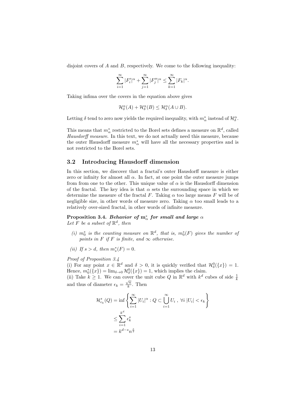disjoint covers of  $A$  and  $B$ , respectively. We come to the following inequality:

$$
\sum_{i=1}^{\infty}|F_i'|^{\alpha}+\sum_{j=1}^{\infty}|F_j''|^{\alpha}\leq \sum_{k=1}^{\infty}|F_k|^{\alpha}.
$$

Taking infima over the covers in the equation above gives

$$
\mathcal{H}_{\delta}^{\alpha}(A) + \mathcal{H}_{\delta}^{\alpha}(B) \leq \mathcal{H}_{\delta}^{\alpha}(A \cup B).
$$

Letting  $\delta$  tend to zero now yields the required inequality, with  $m^*_\alpha$  instead of  $\mathcal{H}_{\delta}^{\alpha}$ .

This means that  $m^*_\alpha$  restricted to the Borel sets defines a measure on  $\mathbb{R}^d$ , called Hausdorff measure. In this text, we do not actually need this measure, because the outer Hausdorff measure  $m^*_{\alpha}$  will have all the necessary properties and is not restricted to the Borel sets.

#### 3.2 Introducing Hausdorff dimension

In this section, we discover that a fractal's outer Hausdorff measure is either zero or infinity for almost all  $\alpha$ . In fact, at one point the outer measure jumps from from one to the other. This unique value of  $\alpha$  is the Hausdorff dimension of the fractal. The key idea is that  $\alpha$  sets the surrounding space in which we determine the measure of the fractal F. Taking  $\alpha$  too large means F will be of negligible size, in other words of measure zero. Taking  $\alpha$  too small leads to a relatively over-sized fractal, in other words of infinite measure.

## Proposition 3.4. Behavior of  $\mathrm{m}^*_{\alpha}$  for small and large  $\alpha$

Let F be a subset of  $\mathbb{R}^d$ , then

- (i)  $m_0^*$  is the counting measure on  $\mathbb{R}^d$ , that is,  $m_0^*(F)$  gives the number of points in F if F is finite, and  $\infty$  otherwise.
- (*ii*) If  $s > d$ , then  $m_s^*(F) = 0$ .

Proof of Proposition 3.4

(i) For any point  $x \in \mathbb{R}^d$  and  $\delta > 0$ , it is quickly verified that  $\mathcal{H}^0_\delta(\lbrace x \rbrace) = 1$ . Hence,  $m_0^*(\lbrace x \rbrace) = \lim_{\delta \to 0} \mathcal{H}_\delta^0(\lbrace x \rbrace) = 1$ , which implies the claim.

(ii) Take  $k \geq 1$ . We can cover the unit cube Q in  $\mathbb{R}^d$  with  $k^d$  cubes of side  $\frac{1}{k}$ and thus of diameter  $\epsilon_k = \frac{\sqrt{n}}{k}$  $\frac{\sqrt{n}}{k}$ . Then

$$
\mathcal{H}_{\epsilon_k}^s(Q) = \inf \left\{ \sum_{i=1}^{\infty} |U_i|^{\alpha} : Q \subset \bigcup_{i=1}^{\infty} U_i, \ \forall i |U_i| < \epsilon_k \right\}
$$
\n
$$
\leq \sum_{i=1}^{k^d} \epsilon_k^s
$$
\n
$$
= k^{d-s} n^{\frac{s}{2}}
$$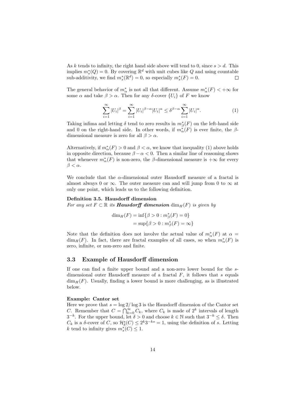As k tends to infinity, the right hand side above will tend to 0, since  $s > d$ . This implies  $m_s^*(Q) = 0$ . By covering  $\mathbb{R}^d$  with unit cubes like Q and using countable sub-additivity, we find  $m_s^*(\mathbb{R}^d) = 0$ , so especially  $m_s^*(F) = 0$ .  $\Box$ 

The general behavior of  $m^*_\alpha$  is not all that different. Assume  $m^*_\alpha(F) < +\infty$  for some  $\alpha$  and take  $\beta > \alpha$ . Then for any δ-cover  $\{U_i\}$  of F we know

$$
\sum_{i=1}^{\infty} |U_i|^{\beta} = \sum_{i=1}^{\infty} |U_i|^{\beta - \alpha} |U_i|^{\alpha} \leq \delta^{\beta - \alpha} \sum_{i=1}^{\infty} |U_i|^{\alpha}.
$$
 (1)

Taking infima and letting  $\delta$  tend to zero results in  $m^*_{\beta}(F)$  on the left-hand side and 0 on the right-hand side. In other words, if  $m^{\tilde{*}}_{\alpha}(F)$  is ever finite, the  $\beta$ dimensional measure is zero for all  $\beta > \alpha$ .

Alternatively, if  $m^*_{\alpha}(F) > 0$  and  $\beta < \alpha$ , we know that inequality (1) above holds in opposite direction, because  $\beta - \alpha < 0$ . Then a similar line of reasoning shows that whenever  $m^*_{\alpha}(F)$  is non-zero, the  $\beta$ -dimensional measure is  $+\infty$  for every  $\beta < \alpha$ .

We conclude that the  $\alpha$ -dimensional outer Hausdorff measure of a fractal is almost always 0 or  $\infty$ . The outer measure can and will jump from 0 to  $\infty$  at only one point, which leads us to the following definition.

#### Definition 3.5. Hausdorff dimension

For any set  $F \subset \mathbb{R}$  its **Hausdorff dimension**  $\dim_H(F)$  is given by

$$
\dim_H(F) = \inf \{ \beta > 0 : m_{\beta}^*(F) = 0 \}
$$
  
=  $\sup \{ \beta > 0 : m_{\beta}^*(F) = \infty \}$ 

Note that the definition does not involve the actual value of  $m^*_{\alpha}(F)$  at  $\alpha =$  $\dim_H(F)$ . In fact, there are fractal examples of all cases, so when  $m^*_{\alpha}(F)$  is zero, infinite, or non-zero and finite.

#### 3.3 Example of Hausdorff dimension

If one can find a finite upper bound and a non-zero lower bound for the sdimensional outer Hausdorff measure of a fractal  $F$ , it follows that s equals  $\dim_H(F)$ . Usually, finding a lower bound is more challenging, as is illustrated below.

#### Example: Cantor set

Here we prove that  $s = \log 2/\log 3$  is the Hausdorff dimension of the Cantor set C. Remember that  $C = \bigcap_{k=0}^{\infty} C_k$ , where  $C_k$  is made of  $2^k$  intervals of length  $3^{-k}$ . For the upper bound, let  $\delta > 0$  and choose  $k \in \mathbb{N}$  such that  $3^{-k} \leq \delta$ . Then  $C_k$  is a  $\delta$ -cover of C, so  $\mathcal{H}_\delta^s(C) \leq 2^k 3^{-ks} = 1$ , using the definition of s. Letting k tend to infinity gives  $m_s^*(C) \leq 1$ .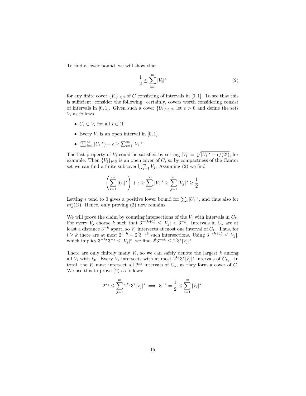To find a lower bound, we will show that

$$
\frac{1}{2} \le \sum_{i=1}^{m} |V_i|^s \tag{2}
$$

for any finite cover  ${V_i}_{i\in\mathbb{N}}$  of C consisting of intervals in [0, 1]. To see that this is sufficient, consider the following: certainly, covers worth considering consist of intervals in [0, 1]. Given such a cover  $\{U_i\}_{i\in\mathbb{N}}$ , let  $\epsilon > 0$  and define the sets  $V_i$  as follows.

- $U_i \subset V_i$  for all  $i \in \mathbb{N}$ .
- Every  $V_i$  is an open interval in  $[0, 1]$ .
- $(\sum_{i=1}^{\infty} |U_i|^s) + \epsilon \geq \sum_{i=1}^{\infty} |V_i|^s$

The last property of  $V_i$  could be satisfied by setting  $|V_i| = \sqrt[s]{|U_i|^s + \epsilon/(2^i)}$ , for example. Then  $\{V_i\}_{i\in\mathbb{N}}$  is an open cover of C, so by compactness of the Cantor set we can find a finite subcover  $\bigcup_{j=1}^{m} V_j$ . Assuming (2) we find

$$
\left(\sum_{i=1}^{\infty} |U_i|^s\right) + \epsilon \ge \sum_{i=1}^{\infty} |V_i|^s \ge \sum_{j=1}^m |V_j|^s \ge \frac{1}{2}.
$$

Letting  $\epsilon$  tend to 0 gives a positive lower bound for  $\sum_i |U_i|^s$ , and thus also for  $m_s^*(C)$ . Hence, only proving (2) now remains.

We will prove the claim by counting intersections of the  $V_i$  with intervals in  $C_k$ . For every  $V_j$  choose k such that  $3^{-(k+1)} \leq |V_j| < 3^{-k}$ . Intervals in  $C_k$  are at least a distance  $3^{-k}$  apart, so  $V_j$  intersects at most one interval of  $C_k$ . Thus, for  $l \geq k$  there are at most  $2^{l-k} = 2^l 3^{-sk}$  such intersections. Using  $3^{-(k+1)} \leq |V_j|$ , which implies  $3^{-ks}3^{-s} \leq |V_j|^s$ , we find  $2^l3^{-sk} \leq 2^l3^s|V_j|^s$ .

There are only finitely many  $V_i$ , so we can safely denote the largest  $k$  among all  $V_i$  with  $k_0$ . Every  $V_i$  intersects with at most  $2^{k_0}3^s|V_j|^s$  intervals of  $C_{k_0}$ . In total, the  $V_i$  must intersect all  $2^{k_0}$  intervals of  $C_k$ , as they form a cover of C. We use this to prove (2) as follows:

$$
2^{k_0} \le \sum_{j=1}^m 2^{k_0} 3^s |V_j|^s \implies 3^{-s} = \frac{1}{2} \le \sum_{i=1}^m |V_i|^s.
$$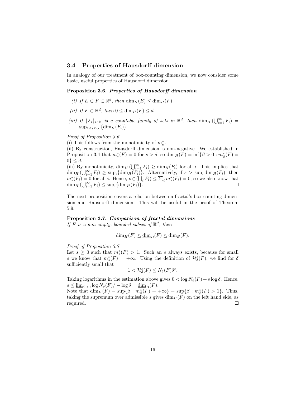#### 3.4 Properties of Hausdorff dimension

In analogy of our treatment of box-counting dimension, we now consider some basic, useful properties of Hausdorff dimension.

#### Proposition 3.6. Properties of Hausdorff dimension

- (i) If  $E \subset F \subset \mathbb{R}^d$ , then  $\dim_H(E) \leq \dim_H(F)$ .
- (ii) If  $F \subset \mathbb{R}^d$ , then  $0 \le \dim_H(F) \le d$ .
- (iii) If  $\{F_i\}_{i\in\mathbb{N}}$  is a countable family of sets in  $\mathbb{R}^d$ , then  $\dim_H(\bigcup_{i=1}^\infty F_i)$  =  $\sup_{1 \leq i \leq \infty} \{ \dim_H(F_i) \}.$

Proof of Proposition 3.6

(i) This follows from the monotonicity of  $m^*_\alpha.$ 

(ii) By construction, Hausdorff dimension is non-negative. We established in Proposition 3.4 that  $m_s^*(F) = 0$  for  $s > d$ , so  $\dim_H(F) = \inf\{\beta > 0 : m_\beta^*(F) = 0\}$  $0\} \leq d$ .

(iii) By monotonicity,  $\dim_H(\bigcup_{i=1}^{\infty} F_i) \geq \dim_H(F_i)$  for all i. This implies that  $\dim_H(\bigcup_{i=1}^{\infty} F_i) \geq \sup_i \{ \dim_H(F_i) \}.$  Alternatively, if  $s > \sup_i \dim_H(F_i)$ , then  $m_s^*(F_i) = 0$  for all *i*. Hence,  $m_s^*(U_i, F_i) \le \sum_i m_s^*(F_i) = 0$ , so we also know that  $\dim_H(\bigcup_{i=1}^{\infty} F_i) \leq \sup_i \{\dim_H(F_i)\}.$ 

The next proposition covers a relation between a fractal's box-counting dimension and Hausdorff dimension. This will be useful in the proof of Theorem 5.9.

#### Proposition 3.7. Comparison of fractal dimensions

If  $F$  is a non-empty, bounded subset of  $\mathbb{R}^d$ , then

$$
\dim_H(F) \le \underline{\dim}_B(F) \le \overline{\dim}_B(F).
$$

Proof of Proposition 3.7

Let  $s \geq 0$  such that  $m_s^*(F) > 1$ . Such an s always exists, because for small s we know that  $m_s^*(F) = +\infty$ . Using the definition of  $\mathcal{H}_\delta^s(F)$ , we find for  $\delta$ sufficiently small that

$$
1<\mathcal{H}^s_\delta(F)\leq N_\delta(F)\delta^s.
$$

Taking logarithms in the estimation above gives  $0 < \log N_{\delta}(F) + s \log \delta$ . Hence,  $s \leq \underline{\lim}_{\delta \to 0} \log N_{\delta}(F) / - \log \delta = \underline{\dim}_B(F).$ 

Note that  $\dim_H(F) = \sup\{\beta : m^*_{\beta}(F) = +\infty\} = \sup\{\beta : m^*_{\beta}(F) > 1\}.$  Thus, taking the supremum over admissible s gives  $\dim_H(F)$  on the left hand side, as required.  $\Box$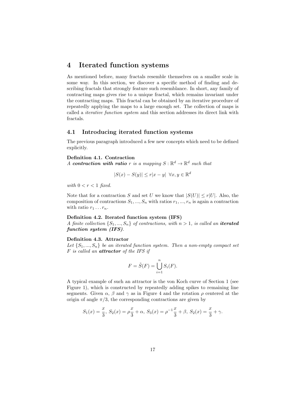## 4 Iterated function systems

As mentioned before, many fractals resemble themselves on a smaller scale in some way. In this section, we discover a specific method of finding and describing fractals that strongly feature such resemblance. In short, any family of contracting maps gives rise to a unique fractal, which remains invariant under the contracting maps. This fractal can be obtained by an iterative procedure of repeatedly applying the maps to a large enough set. The collection of maps is called a iterative function system and this section addresses its direct link with fractals.

### 4.1 Introducing iterated function systems

The previous paragraph introduced a few new concepts which need to be defined explicitly.

#### Definition 4.1. Contraction

A contraction with ratio r is a mapping  $S : \mathbb{R}^d \to \mathbb{R}^d$  such that

$$
|S(x) - S(y)| \le r|x - y| \quad \forall x, y \in \mathbb{R}^d
$$

with  $0 < r < 1$  fixed.

Note that for a contraction S and set U we know that  $|S(U)| \le r|U|$ . Also, the composition of contractions  $S_1, ..., S_n$  with ratios  $r_1, ..., r_n$  is again a contraction with ratio  $r_1 \ldots r_n$ .

#### Definition 4.2. Iterated function system (IFS)

A finite collection  $\{S_1, ..., S_n\}$  of contractions, with  $n > 1$ , is called an **iterated** function system (IFS).

#### Definition 4.3. Attractor

Let  $\{S_1, ..., S_n\}$  be an iterated function system. Then a non-empty compact set F is called an attractor of the IFS if

$$
F = \tilde{S}(F) = \bigcup_{i=1}^{n} S_i(F).
$$

A typical example of such an attractor is the von Koch curve of Section 1 (see Figure 1), which is constructed by repeatedly adding spikes to remaining line segments. Given  $\alpha$ ,  $\beta$  and  $\gamma$  as in Figure 4 and the rotation  $\rho$  centered at the origin of angle  $\pi/3$ , the corresponding contractions are given by

$$
S_1(x) = \frac{x}{3}, S_2(x) = \rho \frac{x}{3} + \alpha, S_3(x) = \rho^{-1} \frac{x}{3} + \beta, S_2(x) = \frac{x}{3} + \gamma.
$$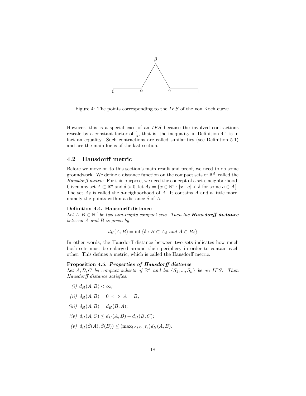

Figure 4: The points corresponding to the IFS of the von Koch curve.

However, this is a special case of an  $IFS$  because the involved contractions rescale by a constant factor of  $\frac{1}{3}$ , that is, the inequality in Definition 4.1 is in fact an equality. Such contractions are called similarities (see Definition 5.1) and are the main focus of the last section.

### 4.2 Hausdorff metric

Before we move on to this section's main result and proof, we need to do some groundwork. We define a distance function on the compact sets of  $\mathbb{R}^d$ , called the Hausdorff metric. For this purpose, we need the concept of a set's neighborhood. Given any set  $A \subset \mathbb{R}^d$  and  $\delta > 0$ , let  $A_{\delta} = \{x \in \mathbb{R}^d : |x-a| < \delta \text{ for some } a \in A\}.$ The set  $A_{\delta}$  is called the  $\delta$ -neighborhood of A. It contains A and a little more, namely the points within a distance  $\delta$  of A.

#### Definition 4.4. Hausdorff distance

Let  $A, B \subset \mathbb{R}^d$  be two non-empty compact sets. Then the **Hausdorff distance** between A and B is given by

$$
d_H(A, B) = \inf \{ \delta : B \subset A_{\delta} \text{ and } A \subset B_{\delta} \}
$$

In other words, the Hausdorff distance between two sets indicates how much both sets must be enlarged around their periphery in order to contain each other. This defines a metric, which is called the Hausdorff metric.

#### Proposition 4.5. Properties of Hausdorff distance

Let  $A, B, C$  be compact subsets of  $\mathbb{R}^d$  and let  $\{S_1, ..., S_n\}$  be an IFS. Then Hausdorff distance satisfies:

- (i)  $d_H(A, B) < \infty$ ;
- (ii)  $d_H(A, B) = 0 \iff A = B;$
- (iii)  $d_H(A, B) = d_H(B, A);$
- (iv)  $d_H(A, C) \leq d_H(A, B) + d_H(B, C);$
- (v)  $d_H(\tilde{S}(A), \tilde{S}(B)) \leq (\max_{1 \leq i \leq n} r_i) d_H(A, B).$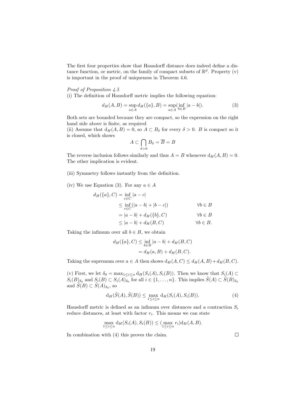The first four properties show that Hausdorff distance does indeed define a distance function, or metric, on the family of compact subsets of  $\mathbb{R}^d$ . Property (v) is important in the proof of uniqueness in Theorem 4.6.

#### Proof of Proposition 4.5

(i) The definition of Hausdorff metric implies the following equation:

$$
d_H(A, B) = \sup_{a \in A} d_H(\{a\}, B) = \sup_{a \in A} (\inf_{b \in B} |a - b|).
$$
 (3)

Both sets are bounded because they are compact, so the expression on the right hand side above is finite, as required

(ii) Assume that  $d_H(A, B) = 0$ , so  $A \subset B_\delta$  for every  $\delta > 0$ . B is compact so it is closed, which shows

$$
A \subset \bigcap_{\delta > 0} B_{\delta} = \overline{B} = B
$$

The reverse inclusion follows similarly and thus  $A = B$  whenever  $d_H(A, B) = 0$ . The other implication is evident.

- (iii) Symmetry follows instantly from the definition.
- (iv) We use Equation (3). For any  $a \in A$

$$
d_H(\{a\}, C) = \inf_{c \in C} |a - c|
$$
  
\n
$$
\leq \inf_{c \in C} (|a - b| + |b - c|)
$$
  
\n
$$
= |a - b| + d_H(\{b\}, C)
$$
  
\n
$$
\leq |a - b| + d_H(B, C)
$$
  
\n
$$
\forall b \in B
$$
  
\n
$$
\leq |a - b| + d_H(B, C)
$$
  
\n
$$
\forall b \in B.
$$

Taking the infimum over all  $b \in B$ , we obtain

$$
d_H({a}, C) \le \inf_{b \in B} |a - b| + d_H(B, C)
$$
  
=  $d_H(a, B) + d_H(B, C)$ .

Taking the supremum over  $a \in A$  then shows  $d_H(A, C) \leq d_H(A, B) + d_H(B, C)$ .

(v) First, we let  $\delta_0 = \max_{1 \leq i \leq n} d_H(S_i(A), S_i(B))$ . Then we know that  $S_i(A) \subset$  $S_i(B)_{\delta_0}$  and  $S_i(B) \subset S_i(A)_{\delta_0}$  for all  $i \in \{1, \ldots, n\}$ . This implies  $\tilde{S}(A) \subset \tilde{S}(B)_{\delta_0}$ and  $\widetilde{S}(B) \subset \widetilde{S}(A)_{\delta_0}$ , so

$$
d_H(\tilde{S}(A), \tilde{S}(B)) \le \max_{1 \le i \le n} d_H(S_i(A), S_i(B)).
$$
\n(4)

Hausdorff metric is defined as an infimum over distances and a contraction  $S_i$ reduce distances, at least with factor  $r_i$ . This means we can state

$$
\max_{1 \leq i \leq n} d_H(S_i(A), S_i(B)) \leq (\max_{1 \leq i \leq n} r_i) d_H(A, B).
$$

In combination with (4) this proves the claim.

 $\Box$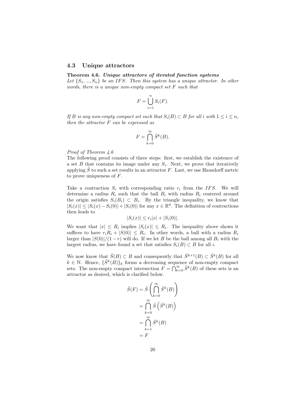#### 4.3 Unique attractors

#### Theorem 4.6. Unique attractors of iterated function systems

Let  $\{S_1, ..., S_n\}$  be an IFS. Then this system has a unique attractor. In other words, there is a unique non-empty compact set F such that

$$
F = \bigcup_{i=1}^{n} S_i(F).
$$

If B is any non-empty compact set such that  $S_i(B) \subset B$  for all i with  $1 \leq i \leq n$ , then the attractor F can be expressed as

$$
F = \bigcap_{k=0}^{\infty} \tilde{S}^k(B).
$$

Proof of Theorem 4.6

The following proof consists of three steps: first, we establish the existence of a set  $B$  that contains its image under any  $S_i$ . Next, we prove that iteratively applying  $S$  to such a set results in an attractor  $F$ . Last, we use Hausdorff metric to prove uniqueness of F.

Take a contraction  $S_i$  with corresponding ratio  $r_i$  from the IFS. We will determine a radius  $R_i$  such that the ball  $B_i$  with radius  $R_i$  centered around the origin satisfies  $S_i(B_i) \subset B_i$ . By the triangle inequality, we know that  $|S_i(x)| \leq |S_i(x) - S_i(0)| + |S_i(0)|$  for any  $x \in \mathbb{R}^d$ . The definition of contractions then leads to

$$
|S_i(x)| \le r_i |x| + |S_i(0)|.
$$

We want that  $|x| \leq R_i$  implies  $|S_i(x)| \leq R_i$ . The inequality above shows it suffices to have  $r_i R_i + |S(0)| \leq R_i$ . In other words, a ball with a radius  $R_i$ larger than  $|S(0)|/(1-r)$  will do. If we let B be the ball among all  $B_i$  with the largest radius, we have found a set that satisfies  $S_i(B) \subset B$  for all i.

We now know that  $\tilde{S}(B) \subset B$  and consequently that  $\tilde{S}^{k+1}(B) \subset \tilde{S}^k(B)$  for all  $k \in \mathbb{N}$ . Hence,  $\{\tilde{S}^k(B)\}_k$  forms a decreasing sequence of non-empty compact sets. The non-empty compact intersection  $F = \bigcap_{k=0}^{\infty} \tilde{S}^k(B)$  of these sets is an attractor as desired, which is clarified below.

$$
\tilde{S}(F) = \tilde{S}\left(\bigcap_{k=0}^{\infty} \tilde{S}^k(B)\right)
$$

$$
= \bigcap_{k=0}^{\infty} \tilde{S}\left(\tilde{S}^k(B)\right)
$$

$$
= \bigcap_{k=1}^{\infty} \tilde{S}^k(B)
$$

$$
= F
$$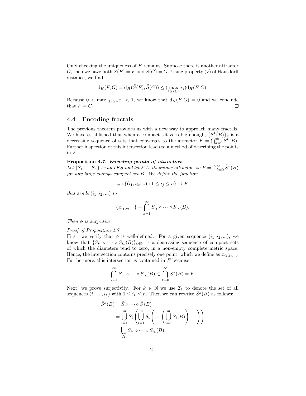Only checking the uniqueness of  $F$  remains. Suppose there is another attractor G, then we have both  $\tilde{S}(F) = F$  and  $\tilde{S}(G) = G$ . Using property (v) of Hausdorff distance, we find

$$
\mathrm{d}_H(F,G) = \mathrm{d}_H(\tilde{S}(F),\tilde{S}(G)) \le (\max_{1 \le i \le n} r_i) \mathrm{d}_H(F,G).
$$

Because  $0 < \max_{1 \leq i \leq n} r_i < 1$ , we know that  $d_H(F, G) = 0$  and we conclude that  $F = G$ .  $\Box$ 

#### 4.4 Encoding fractals

The previous theorem provides us with a new way to approach many fractals. We have established that when a compact set B is big enough,  $\{\tilde{S}^k(B)\}_k$  is a decreasing sequence of sets that converges to the attractor  $\overline{F} = \bigcap_{k=0}^{\infty} S^k(B)$ . Further inspection of this intersection leads to a method of describing the points in  $F$ .

#### Proposition 4.7. Encoding points of attractors

Let  $\{S_1, ..., S_n\}$  be an IFS and let F be its unique attractor, so  $F = \bigcap_{k=0}^{\infty} \tilde{S}^k(B)$ for any large enough compact set B. We define the function

$$
\phi: \{(i_1, i_2, \ldots) : 1 \le i_j \le n\} \to F
$$

that sends  $(i_1, i_2, \ldots)$  to

$$
\{x_{i_1,i_2,...}\} = \bigcap_{k=1}^{\infty} S_{i_1} \circ \cdots \circ S_{i_k}(B).
$$

Then  $\phi$  is surjective.

#### Proof of Proposition 4.7

First, we verify that  $\phi$  is well-defined. For a given sequence  $(i_1, i_2, \ldots)$ , we know that  $\{S_{i_1} \circ \cdots \circ S_{i_k}(B)\}_{k \in \mathbb{N}}$  is a decreasing sequence of compact sets of which the diameters tend to zero, in a non-empty complete metric space. Hence, the intersection contains precisely one point, which we define as  $x_{i_1,i_2,...}$ . Furthermore, this intersection is contained in  $F$  because

$$
\bigcap_{k=1}^{\infty} S_{i_1} \circ \cdots \circ S_{i_k}(B) \subset \bigcap_{k=0}^{\infty} \tilde{S}^k(B) = F.
$$

Next, we prove surjectivity. For  $k \in \mathbb{N}$  we use  $\mathcal{I}_k$  to denote the set of all sequences  $(i_1, ..., i_k)$  with  $1 \leq i_k \leq n$ . Then we can rewrite  $\tilde{S}^k(B)$  as follows:

$$
\tilde{S}^k(B) = \tilde{S} \circ \cdots \circ \tilde{S}(B)
$$
\n
$$
= \bigcup_{i=1}^m S_i \left( \bigcup_{i=1}^m S_i \left( \dots \left( \bigcup_{i=1}^m S_i(B) \right) \dots \right) \right)
$$
\n
$$
= \bigcup_{I_k} S_{i_1} \circ \cdots \circ S_{i_k}(B).
$$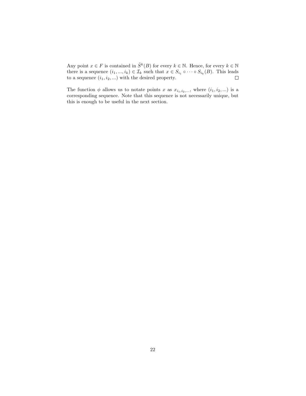Any point  $x \in F$  is contained in  $\tilde{S}^k(B)$  for every  $k \in \mathbb{N}$ . Hence, for every  $k \in \mathbb{N}$ there is a sequence  $(i_1, ..., i_k) \in \mathcal{I}_k$  such that  $x \in S_{i_1} \circ \cdots \circ S_{i_k}(B)$ . This leads to a sequence  $(i_1, i_2, \ldots)$  with the desired property.

The function  $\phi$  allows us to notate points x as  $x_{i_1,i_2,...}$ , where  $(i_1, i_2,...)$  is a corresponding sequence. Note that this sequence is not necessarily unique, but this is enough to be useful in the next section.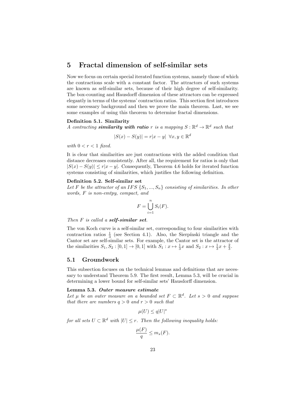## 5 Fractal dimension of self-similar sets

Now we focus on certain special iterated function systems, namely those of which the contractions scale with a constant factor. The attractors of such systems are known as self-similar sets, because of their high degree of self-similarity. The box-counting and Hausdorff dimension of these attractors can be expressed elegantly in terms of the systems' contraction ratios. This section first introduces some necessary background and then we prove the main theorem. Last, we see some examples of using this theorem to determine fractal dimensions.

#### Definition 5.1. Similarity

A contracting **similarity with ratio** r is a mapping  $S : \mathbb{R}^d \to \mathbb{R}^d$  such that

$$
|S(x) - S(y)| = r|x - y| \quad \forall x, y \in \mathbb{R}^d
$$

with  $0 < r < 1$  fixed.

It is clear that similarities are just contractions with the added condition that distance decreases consistently. After all, the requirement for ratios is only that  $|S(x) - S(y)| \le r|x - y|$ . Consequently, Theorem 4.6 holds for iterated function systems consisting of similarities, which justifies the following definition.

#### Definition 5.2. Self-similar set

Let F be the attractor of an IFS  $\{S_1, ..., S_n\}$  consisting of similarities. In other words, F is non-emtpy, compact, and

$$
F = \bigcup_{i=1}^{n} S_i(F).
$$

Then  $F$  is called a self-similar set.

The von Koch curve is a self-similar set, corresponding to four similarities with contraction ratios  $\frac{1}{3}$  (see Section 4.1). Also, the Sierpínski triangle and the Cantor set are self-similar sets. For example, the Cantor set is the attractor of the similarities  $S_1, S_2 : [0, 1] \to [0, 1]$  with  $S_1 : x \mapsto \frac{1}{3}x$  and  $S_2 : x \mapsto \frac{1}{3}x + \frac{2}{3}$ .

#### 5.1 Groundwork

This subsection focuses on the technical lemmas and definitions that are necessary to understand Theorem 5.9. The first result, Lemma 5.3, will be crucial in determining a lower bound for self-similar sets' Hausdorff dimension.

#### Lemma 5.3. Outer measure estimate

Let  $\mu$  be an outer measure on a bounded set  $F \subset \mathbb{R}^d$ . Let  $s > 0$  and suppose that there are numbers  $q > 0$  and  $r > 0$  such that

$$
\mu(U) \le q|U|^s
$$

for all sets  $U \subset \mathbb{R}^d$  with  $|U| \leq r$ . Then the following inequality holds:

$$
\frac{\mu(F)}{q} \le m_s(F).
$$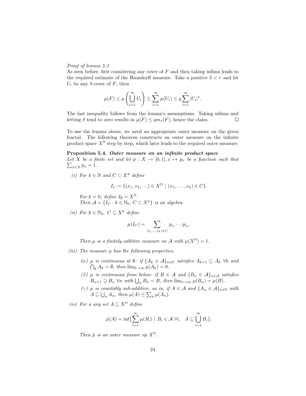#### Proof of lemma 5.3

As seen before, first considering any cover of  $F$  and then taking infima leads to the required estimate of the Hausdorff measure. Take a positive  $\delta < r$  and let  $U_i$  be any  $\delta$ -cover of F, then

$$
\mu(F) \le \mu\left(\bigcup_{i=1}^{\infty} U_i\right) \le \sum_{i=1}^{\infty} \mu(U_i) \le q \sum_{i=1}^{\infty} |U_i|^s.
$$

The last inequality follows from the lemma's assumptions. Taking infima and letting  $\delta$  tend to zero results in  $\mu(F) \leq q m_s(F)$ , hence the claim.  $\Box$ 

To use the lemma above, we need an appropriate outer measure on the given fractal. The following theorem constructs an outer measure on the infinite product space  $X^{\mathbb{N}}$  step by step, which later leads to the required outer measure.

#### Proposition 5.4. Outer measure on an infinite product space

 $\sum_{x \in X} p_x = 1.$ Let X be a finite set and let  $p : X \to [0,1], x \mapsto p_x$  be a function such that

(i) For  $k \in \mathbb{N}$  and  $C \subset X^k$  define

$$
I_C = \{ (x_1, x_2, \ldots) \in X^{\mathbb{N}} \mid (x_1, \ldots, x_k) \in C \}.
$$

For  $k = 0$ , define  $I_{\emptyset} = X^{\mathbb{N}}$ . Then  $\mathcal{A} = \{I_C : k \in \mathbb{N}_0, C \subset X^k\}$  is an algebra.

(ii) For  $k \in \mathbb{N}_0$ ,  $C \subseteq X^k$  define

$$
\mu(I_C) = \sum_{(i_1,\ldots,i_k)\in C} p_{i_1}\cdots p_{i_k}.
$$

Then  $\mu$  is a finitely additive measure on A with  $\mu(X^{\mathbb{N}}) = 1$ .

- (iii) The measure  $\mu$  has the following properties.
	- (α)  $\mu$  is continuous at  $\emptyset$ : if  $\{A_k \in \mathcal{A}\}_{n \in \mathbb{N}}$  satisfies  $A_{k+1} \subseteq A_k$   $\forall k$  and  $\bigcap_k A_k = \emptyset$ , then  $\lim_{k \to \infty} \mu(A_k) = 0$ .
	- (β)  $\mu$  is continuous from below: if  $B \in \mathcal{A}$  and  $\{B_n \in \mathcal{A}\}_{n \in \mathcal{A}}$  satisfies  $B_{n+1} \supseteq B_n$   $\forall n \text{ with } \bigcup_n B_n = B$ , then  $\lim_{n \to \infty} \mu(B_n) = \mu(B)$ .
	- ( $\gamma$ )  $\mu$  is countably sub-additive, as in, if  $A \in \mathcal{A}$  and  $\{A_n \in \mathcal{A}\}_{n \in \mathbb{N}}$  with  $A \subseteq \bigcup_n A_n$ , then  $\mu(A) \leq \sum_n \mu(A_n)$ .

(iv) For a any set  $A \subseteq X^{\mathbb{N}}$  define

$$
\tilde{\mu}(A) = \inf \{ \sum_{i=1}^{\infty} \mu(B_i) \mid B_i \in \mathcal{A} \ \forall i, \ A \subseteq \bigcup_{i=1}^{\infty} B_i \}.
$$

Then  $\tilde{\mu}$  is an outer measure op  $X^{\mathbb{N}}$ .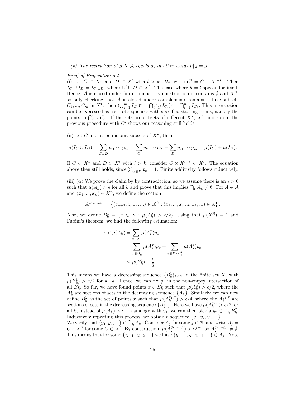(v) The restriction of  $\tilde{\mu}$  to A equals  $\mu$ , in other words  $\tilde{\mu}|_{\mathcal{A}} = \mu$ 

#### Proof of Proposition 5.4

(i) Let  $C \subset X^k$  and  $D \subset X^l$  with  $l > k$ . We write  $C' = C \times X^{l-k}$ . Then  $I_C \cup I_D = I_{C' \cup D}$ , where  $C' \cup D \subset X^l$ . The case where  $k = l$  speaks for itself. Hence, A is closed under finite unions. By construction it contains  $\emptyset$  and  $X^{\mathbb{N}}$ , so only checking that  $A$  is closed under complements remains. Take subsets  $C_1, ..., C_m$  in  $X^{\breve{\kappa}}$ , then  $(\bigcup_{i=1}^m I_{C_i})^c = \bigcap_{i=1}^m (I_{C_i})^c = \bigcap_{i=1}^m I_{C_i^c}$ . This intersection can be expressed as a set of sequences with specified starting terms, namely the points in  $\bigcap_{i=1}^m C_i^c$ . If the sets are subsets of different  $X^k$ ,  $X^l$ , and so on, the previous procedure with  $C'$  shows our reasoning still holds.

(ii) Let C and D be disjoint subsets of  $X^k$ , then

$$
\mu(I_C \cup I_D) = \sum_{C \cup D} p_{i_1} \cdots p_{i_k} = \sum_C p_{i_1} \cdots p_{i_k} + \sum_D p_{j_1} \cdots p_{j_k} = \mu(I_C) + \mu(I_D).
$$

If  $C \subset X^k$  and  $D \subset X^l$  with  $l > k$ , consider  $C \times X^{l-k} \subset X^l$ . The equation above then still holds, since  $\sum_{x \in X} p_x = 1$ . Finite additivity follows inductively.

(iii) ( $\alpha$ ) We prove the claim by by contradiction, so we assume there is an  $\epsilon > 0$ such that  $\mu(A_k) > \epsilon$  for all k and prove that this implies  $\bigcap_k A_k \neq \emptyset$ . For  $A \in \mathcal{A}$ and  $(x_1, ..., x_n) \in X^n$ , we define the section

$$
A^{x_1,...,x_n} = \left\{ (z_{n+1}, z_{n+2}, ...) \in X^{\mathbb{N}} : (x_1, ..., x_n, z_{n+1}, ...) \in A \right\}.
$$

Also, we define  $B_k^1 = \{x \in X : \mu(A_k^x) > \epsilon/2\}$ . Using that  $\mu(X^{\mathbb{N}}) = 1$  and Fubini's theorem, we find the following estimation:

$$
\epsilon < \mu(A_k) = \sum_{x \in X} \mu(A_k^x) p_x
$$
\n
$$
= \sum_{x \in B_k^1} \mu(A_k^x) p_x + \sum_{x \in X \setminus B_k^1} \mu(A_k^x) p_x
$$
\n
$$
\leq \mu(B_k^1) + \frac{\epsilon}{2}.
$$

This means we have a decreasing sequence  ${B_k^1}_{k\in\mathbb{N}}$  in the finite set X, with  $\mu(B_k^1) > \epsilon/2$  for all k. Hence, we can fix  $y_1$  in the non-empty intersection of all  $B_k^1$ . So far, we have found points  $x \in B_k^1$  such that  $\mu(A_k^x) > \epsilon/2$ , where the  $A_k^x$  are sections of sets in the decreasing sequence  $\{A_k\}$ . Similarly, we can now define  $B_k^2$  as the set of points x such that  $\mu(A_k^{y_1,x}) > \epsilon/4$ , where the  $A_k^{y_1,x}$  are sections of sets in the decreasing sequence  $\{A_k^{y_1}\}$ . Here we have  $\mu(A_k^{y_1}) > \epsilon/2$  for all k, instead of  $\mu(A_k) > \epsilon$ . In analogy with  $y_1$ , we can then pick a  $y_2 \in \bigcap_k B_k^2$ . Inductively repeating this process, we obtain a sequence  $\{y_1, y_2, y_3, ...\}$ . We verify that  $\{y_1, y_2, ...\} \in \bigcap_k A_k$ . Consider  $A_j$  for some  $j \in \mathbb{N}$ , and write  $A_j =$ 

 $C \times X^{\mathbb{N}}$  for some  $C \subset X^l$ . By construction,  $\mu(A_j^{y_1,...,y_l}) > \epsilon 2^{-l}$ , so  $A_j^{y_1,...,y_l} \neq \emptyset$ . This means that for some  $\{z_{l+1}, z_{l+2}, ...\}$  we have  $\{y_1, ..., y_l, z_{l+1}, ...\} \in A_j$ . Note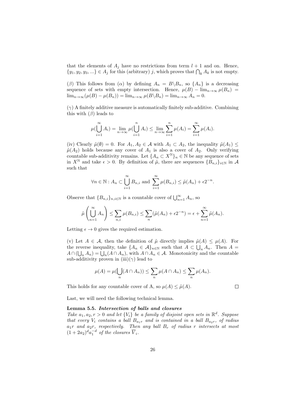that the elements of  $A_j$  have no restrictions from term  $l + 1$  and on. Hence,  $\{y_1, y_2, y_3, ...\} \in A_j$  for this (arbitrary) j, which proves that  $\bigcap_k A_k$  is not empty.

(β) This follows from ( $\alpha$ ) by defining  $A_n = B \setminus B_n$ , so  $\{A_n\}$  is a decreasing sequence of sets with empty intersection. Hence,  $\mu(B) - \lim_{n\to\infty} \mu(B_n) =$  $\lim_{n\to\infty}(\mu(B) - \mu(B_n)) = \lim_{n\to\infty} \mu(B \backslash B_n) = \lim_{n\to\infty} A_n = 0.$ 

 $(\gamma)$  A finitely additive measure is automatically finitely sub-additive. Combining this with  $(\beta)$  leads to

$$
\mu(\bigcup_{i=1}^{\infty} A_i) = \lim_{n \to \infty} \mu(\bigcup_{i=1}^{n} A_i) \le \lim_{n \to \infty} \sum_{i=1}^{n} \mu(A_i) = \sum_{i=1}^{\infty} \mu(A_i).
$$

(iv) Clearly  $\tilde{\mu}(\emptyset) = 0$ . For  $A_1, A_2 \in \mathcal{A}$  with  $A_1 \subset A_2$ , the inequality  $\tilde{\mu}(A_1) \leq$  $\tilde{\mu}(A_2)$  holds because any cover of  $A_1$  is also a cover of  $A_2$ . Only verifying countable sub-additivity remains. Let  $\{A_n \subset X^{\mathbb{N}}\}_n \in \mathbb{N}$  be any sequence of sets in  $X^{\mathbb{N}}$  and take  $\epsilon > 0$ . By definition of  $\tilde{\mu}$ , there are sequences  ${B_{n,i}}_{i\in\mathbb{N}}$  in A such that

$$
\forall n \in \mathbb{N}: A_n \subset \bigcup_{i=1}^{\infty} B_{n,i}
$$
 and  $\sum_{i=1}^{\infty} \mu(B_{n,i}) \leq \tilde{\mu}(A_n) + \epsilon 2^{-n}$ .

Observe that  ${B_{n,i}}_{n,i\in\mathbb{N}}$  is a countable cover of  $\bigcup_{n=1}^{\infty} A_n$ , so

$$
\tilde{\mu}\left(\bigcup_{n=1}^{\infty} A_n\right) \leq \sum_{n,i} \mu(B_{n,i}) \leq \sum_{n} (\tilde{\mu}(A_n) + \epsilon 2^{-n}) = \epsilon + \sum_{n=1}^{\infty} \tilde{\mu}(A_n).
$$

Letting  $\epsilon \to 0$  gives the required estimation.

(v) Let  $A \in \mathcal{A}$ , then the definition of  $\tilde{\mu}$  directly implies  $\tilde{\mu}(A) \leq \mu(A)$ . For the reverse inequality, take  ${A_n \in \mathcal{A}}_{n \in \mathbb{N}}$  such that  $A \subset \bigcup_n A_n$ . Then  $A =$  $A \cap (\bigcup_n A_n) = \bigcup_n (A \cap A_n)$ , with  $A \cap A_n \in \mathcal{A}$ . Monotonicity and the countable sub-additivity proven in (iii)( $\gamma$ ) lead to

$$
\mu(A) = \mu(\bigcup_n (A \cap A_n)) \le \sum_n \mu(A \cap A_n) \le \sum_n \mu(A_n).
$$

This holds for any countable cover of A, so  $\mu(A) \leq \tilde{\mu}(A)$ .

 $\Box$ 

Last, we will need the following technical lemma.

#### Lemma 5.5. Intersection of balls and closures

Take  $a_1, a_2, r > 0$  and let  $\{V_i\}$  be a family of disjoint open sets in  $\mathbb{R}^d$ . Suppose that every  $V_i$  contains a ball  $B_{a_1r}$  and is contained in a ball  $B_{a_2r}$ , of radius  $a_1r$  and  $a_2r$ , respectively. Then any ball  $B_r$  of radius r intersects at most  $(1+2a_2)^d a_1^{-d}$  of the closures  $\overline{V}_i$ .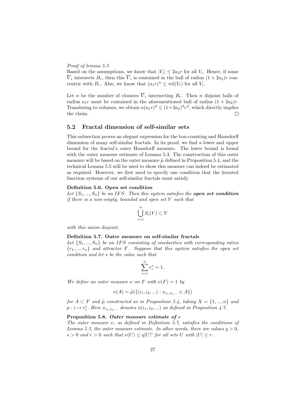#### Proof of lemma 5.5

Based on the assumptions, we know that  $|V_i| \leq 2a_2r$  for all  $V_i$ . Hence, if some  $V_i$  intersects  $B_r$ , then this  $V_i$  is contained in the ball of radius  $(1+2a_2)r$  concentric with  $B_r$ . Also, we know that  $(a_1r)^n \leq \text{vol}(V_i)$  for all  $V_i$ .

Let *n* be the number of closures  $V_i$  intersecting  $B_r$ . Then *n* disjoint balls of radius  $a_1r$  must be contained in the aforementioned ball of radius  $(1 + 2a_2)r$ . Translating to volumes, we obtain  $n(a_1r)^d \leq (1+2a_2)^d r^d$ , which directly implies the claim.  $\Box$ 

#### 5.2 Fractal dimension of self-similar sets

This subsection proves an elegant expression for the box-counting and Hausdorff dimension of many self-similar fractals. In its proof, we find a lower and upper bound for the fractal's outer Hausdorff measure. The lower bound is found with the outer measure estimate of Lemma 5.3. The construction of this outer measure will be based on the outer measure  $\tilde{\mu}$  defined in Proposition 5.4, and the technical Lemma 5.5 will be used to show this measure can indeed be estimated as required. However, we first need to specify one condition that the iterated function systems of our self-similar fractals must satisfy.

#### Definition 5.6. Open set condition

Let  $\{S_1, ..., S_n\}$  be an IFS. Then this system satisfies the **open set condition** if there is a non-empty, bounded and open set V such that

$$
\bigcup_{i=1}^{n} S_i(V) \subset V
$$

with this union disjoint.

#### Definition 5.7. Outer measure on self-similar fractals

Let  $\{S_1, ..., S_n\}$  be an IFS consisting of similarities with corresponding ratios  ${r_1, ..., r_n}$  and attractor F. Suppose that this system satisfies the open set condition and let s be the value such that

$$
\sum_{i=1}^{n} r_i^s = 1.
$$

We define an outer measure  $\nu$  on F with  $\nu(F) = 1$  by

$$
\nu(A) = \tilde{\mu}(\{(i_1, i_2, \ldots) : x_{i_1, i_2, \ldots} \in A\})
$$

for  $A \subset F$  and  $\tilde{\mu}$  constructed as in Proposition 5.4, taking  $X = \{1, ..., n\}$  and  $p: i \mapsto r_i^s$ . Here  $x_{i_1,i_2,...}$  denotes  $\phi(i_1,i_2,...)$  as defined in Proposition 4.7.

#### Proposition 5.8. Outer measure estimate of  $\nu$

The outer measure ν, as defined in Definition 5.7, satisfies the conditions of Lemma 5.3, the outer measure estimate. In other words, there are values  $q > 0$ ,  $s > 0$  and  $r > 0$  such that  $\nu(U) \leq q|U|^s$  for all sets U with  $|U| \leq r$ .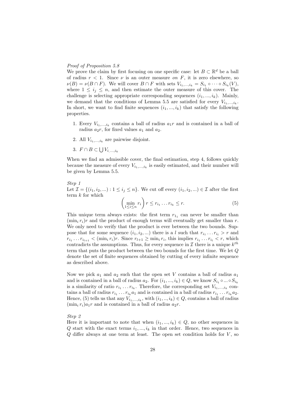#### Proof of Proposition 5.8

We prove the claim by first focusing on one specific case: let  $B \subset \mathbb{R}^d$  be a ball of radius  $r < 1$ . Since  $\nu$  is an outer measure on F, it is zero elsewhere, so  $\nu(B) = \nu(B \cap F)$ . We will cover  $B \cap F$  with sets  $V_{i_1,...,i_k} = S_{i_1} \circ \cdots \circ S_{i_k}(V)$ , where  $1 \leq i_j \leq n$ , and then estimate the outer measure of this cover. The challenge is selecting appropriate corresponding sequences  $(i_1, ..., i_k)$ . Mainly, we demand that the conditions of Lemma 5.5 are satisfied for every  $V_{i_1,\ldots,i_k}$ . In short, we want to find finite sequences  $(i_1, ..., i_k)$  that satisfy the following properties.

- 1. Every  $V_{i_1,\,\ldots,i_k}$  contains a ball of radius  $a_1r$  and is contained in a ball of radius  $a_2r$ , for fixed values  $a_1$  and  $a_2$ .
- 2. All  $V_{i_1,\ldots,i_k}$  are pairwise disjoint.
- 3.  $F \cap B \subset \bigcup V_{i,\dots,i_k}$

When we find an admissible cover, the final estimation, step 4, follows quickly because the measure of every  $V_{i_1,\dots,i_k}$  is easily estimated, and their number will be given by Lemma 5.5.

Step 1 Let  $\mathcal{I} = \{(i_1, i_2, \ldots) : 1 \leq i_j \leq n\}$ . We cut off every  $(i_1, i_2, \ldots) \in \mathcal{I}$  after the first term k for which

$$
\left(\min_{1\leq i\leq n} r_i\right) r \leq r_{i_1} \dots r_{i_k} \leq r. \tag{5}
$$

This unique term always exists: the first term  $r_{1_1}$  can never be smaller than  $(\min_i r_i)r$  and the product of enough terms will eventually get smaller than r. We only need to verify that the product is ever between the two bounds. Suppose that for some sequence  $(i_1, i_2, ...)$  there is a l such that  $r_{i_1} \ldots r_{i_l} > r$  and  $r_{i_1} \ldots r_{i_{l+1}} < (m_i r_i)r$ . Since  $r_{l+1} \geq \min_i r_i$ , this implies  $r_{i_1} \ldots r_{i_l} < r$ , which contradicts the assumptions. Thus, for every sequence in  $\mathcal I$  there is a unique  $k^{th}$ term that puts the product between the two bounds for the first time. We let Q denote the set of finite sequences obtained by cutting of every infinite sequence as described above.

Now we pick  $a_1$  and  $a_2$  such that the open set V contains a ball of radius  $a_1$ and is contained in a ball of radius  $a_2$ . For  $(i_1, ..., i_k) \in Q$ , we know  $S_{i_1} \circ ... \circ S_{i_k}$ is a similarity of ratio  $r_{i_1} \dots r_{i_k}$ . Therefore, the corresponding set  $V_{i_1,\dots,i_k}$  contains a ball of radius  $r_{i_1} \ldots r_{i_k} a_1$  and is contained in a ball of radius  $r_{i_1} \ldots r_{i_k} a_2$ . Hence, (5) tells us that any  $V_{i_1,\dots,i_k}$ , with  $(i_1,..,i_k) \in Q$ , contains a ball of radius  $(\min_i r_i)a_1r$  and is contained in a ball of radius  $a_2r$ .

#### Step 2

Here it is important to note that when  $(i_1, ..., i_k) \in Q$ , no other sequences in Q start with the exact terms  $i_1, ..., i_k$  in that order. Hence, two sequences in  $Q$  differ always at one term at least. The open set condition holds for  $V$ , so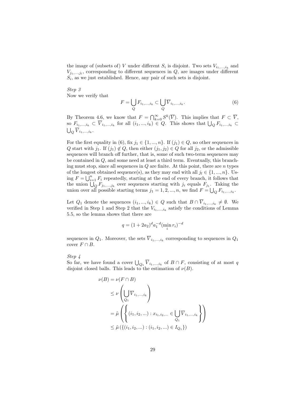the image of (subsets of) V under different  $S_i$  is disjoint. Two sets  $V_{i_1,\dots,i_k}$  and  $V_{j_1,\dots,j_l}$ , corresponding to different sequences in  $Q$ , are images under different  $S_i$ , as we just established. Hence, any pair of such sets is disjoint.

Step 3 Now we verify that

$$
F = \bigcup_{Q} F_{i_1,\dots,i_k} \subset \bigcup_{Q} \overline{V}_{i_1,\dots,i_k}.
$$
 (6)

By Theorem 4.6, we know that  $F = \bigcap_{k=0}^{\infty} S^k(\overline{V})$ . This implies that  $F \subset \overline{V}$ , so  $F_{i_1,\dots,i_k} \subset \overline{V}_{i_1,\dots,i_k}$  for all  $(i_1,...,i_k) \in Q$ . This shows that  $\bigcup_Q F_{i_1,\dots,i_k} \subset$  $\bigcup_Q \overline{V}_{i_1,...,i_k}.$ 

For the first equality in (6), fix  $j_1 \in \{1, ..., n\}$ . If  $(j_1) \in Q$ , no other sequences in Q start with  $j_1$ . If  $(j_1) \notin Q$ , then either  $(j_1, j_2) \in Q$  for all  $j_2$ , or the admissible sequences will branch off further, that is, some of such two-term sequences may be contained in Q, and some need at least a third term. Eventually, this branching must stop, since all sequences in  $Q$  are finite. At this point, there are  $n$  types of the longest obtained sequence(s), as they may end with all  $j_l \in \{1, ..., n\}$ . Using  $F = \bigcup_{i=1}^{n} F_i$  repeatedly, starting at the end of every branch, it follows that the union  $\bigcup_{Q} F_{j_1,\dots,j_k}$  over sequences starting with  $j_i$  equals  $F_{j_1}$ . Taking the union over all possible starting terms  $j_1 = 1, 2, ..., n$ , we find  $F = \bigcup_Q F_{i_1,...,i_k}$ .

Let  $Q_1$  denote the sequences  $(i_1, ..., i_k) \in Q$  such that  $B \cap \overline{V}_{i_1,...,i_k} \neq \emptyset$ . We verified in Step 1 and Step 2 that the  $V_{i_1,\dots,i_k}$  satisfy the conditions of Lemma 5.5, so the lemma shows that there are

$$
q = (1 + 2a_2)^d a_1^{-d} (\min_i r_i)^{-d}
$$

sequences in  $Q_1$ . Moreover, the sets  $V_{i_1,\dots,i_k}$  corresponding to sequences in  $Q_1$ cover  $F \cap B$ .

Step 4

So far, we have found a cover  $\bigcup_{Q_1} \overline{V}_{i_1,\dots,i_k}$  of  $B \cap F$ , consisting of at most q disjoint closed balls. This leads to the estimation of  $\nu(B)$ .

$$
\nu(B) = \nu(F \cap B)
$$
  
\n
$$
\leq \nu \left( \bigcup_{Q_1} \overline{V}_{i_1, \dots, i_k} \right)
$$
  
\n
$$
= \tilde{\mu} \left( \left\{ (i_1, i_2, \dots) : x_{i_1, i_2, \dots} \in \bigcup_{Q_1} \overline{V}_{i_1, \dots, i_k} \right\} \right)
$$
  
\n
$$
\leq \tilde{\mu} \left( \left\{ (i_1, i_2, \dots) : (i_1, i_2, \dots) \in I_{Q_1} \right\} \right)
$$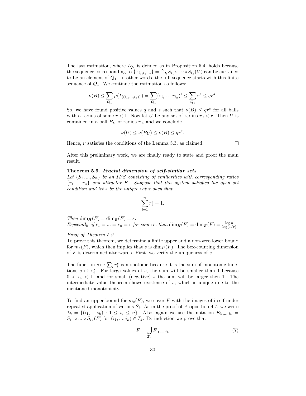The last estimation, where  $I_{Q_1}$  is defined as in Proposition 5.4, holds because the sequence corresponding to  $\{x_{i_1,i_2,...}\} = \bigcap_k S_{i_1} \circ \cdots \circ S_{i_k}(V)$  can be curtailed to be an element of  $Q_1$ . In other words, the full sequence starts with this finite sequence of  $Q_1$ . We continue the estimation as follows:

$$
\nu(B) \leq \sum_{Q_1} \tilde{\mu}(I_{\{(i_1,\ldots,i_k)\}}) = \sum_{Q_1} (r_{i_1} \ldots r_{i_k})^s \leq \sum_{Q_1} r^s \leq qr^s.
$$

So, we have found positive values q and s such that  $\nu(B) \leq qr^s$  for all balls with a radius of some  $r < 1$ . Now let U be any set of radius  $r_0 < r$ . Then U is contained in a ball  $B_U$  of radius  $r_0$ , and we conclude

$$
\nu(U) \le \nu(B_U) \le \nu(B) \le qr^s.
$$

Hence,  $\nu$  satisfies the conditions of the Lemma 5.3, as claimed.

 $\Box$ 

After this preliminary work, we are finally ready to state and proof the main result.

#### Theorem 5.9. Fractal dimension of self-similar sets

Let  $\{S_1, ..., S_n\}$  be an IFS consisting of similarities with corresponding ratios  ${r_1, ..., r_n}$  and attractor F. Suppose that this system satisfies the open set condition and let s be the unique value such that

$$
\sum_{i=1}^{n} r_i^s = 1.
$$

Then  $\dim_H(F) = \dim_B(F) = s$ . Especially, if  $r_1 = ... = r_n = r$  for some r, then  $\dim_H(F) = \dim_B(F) = \frac{\log n}{\log(1/r)}$ .

#### Proof of Theorem 5.9

To prove this theorem, we determine a finite upper and a non-zero lower bound for  $m_s(F)$ , which then implies that s is  $\dim_H(F)$ . The box-counting dimension of  $F$  is determined afterwards. First, we verify the uniqueness of  $s$ .

The function  $s \mapsto \sum_i r_i^s$  is monotonic because it is the sum of monotonic functions  $s \mapsto r_i^s$ . For large values of s, the sum will be smaller than 1 because  $0 < r_i < 1$ , and for small (negative) s the sum will be larger then 1. The intermediate value theorem shows existence of s, which is unique due to the mentioned monotonicity.

To find an upper bound for  $m_s(F)$ , we cover F with the images of itself under repeated application of various  $S_i$ . As in the proof of Proposition 4.7, we write  $\mathcal{I}_k = \{(i_1, ..., i_k) : 1 \leq i_j \leq n\}.$  Also, again we use the notation  $F_{i_1, ..., i_k} =$  $S_{i_1} \circ \dots \circ S_{i_k}(F)$  for  $(i_1, ..., i_k) \in \mathcal{I}_k$ . By induction we prove that

$$
F = \bigcup_{\mathcal{I}_k} F_{i_1, \dots, i_k} \tag{7}
$$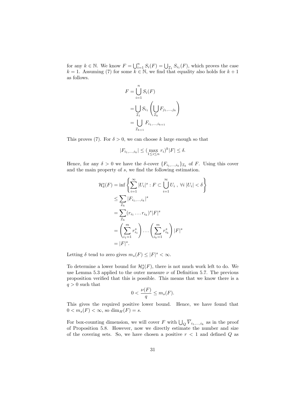for any  $k \in \mathbb{N}$ . We know  $F = \bigcup_{i=1}^{n} S_i(F) = \bigcup_{\mathcal{I}_1} S_{i_1}(F)$ , which proves the case  $k = 1$ . Assuming (7) for some  $k \in \mathbb{N}$ , we find that equality also holds for  $k + 1$ as follows.

$$
F = \bigcup_{i=1}^{n} S_i(F)
$$
  
= 
$$
\bigcup_{\mathcal{I}_1} S_{i_1} \left( \bigcup_{\mathcal{I}_k} F_{j_1, \dots, j_k} \right)
$$
  
= 
$$
\bigcup_{\mathcal{I}_{k+1}} F_{i_1, \dots, i_{k+1}}
$$

This proves (7). For  $\delta > 0$ , we can choose k large enough so that

$$
|F_{i_1,\ldots,i_k}| \le (\max_{1 \le i \le n} r_i)^k |F| \le \delta.
$$

Hence, for any  $\delta > 0$  we have the  $\delta$ -cover  $\{F_{i_1,\dots,i_k}\}_{\mathcal{I}_k}$  of F. Using this cover and the main property of s, we find the following estimation.

$$
\mathcal{H}_{\delta}^{s}(F) = \inf \left\{ \sum_{i=1}^{\infty} |U_{i}|^{s} : F \subset \bigcup_{i=1}^{\infty} U_{i} , \forall i |U_{i}| < \delta \right\}
$$
  
\n
$$
\leq \sum_{\mathcal{I}_{k}} |F_{i_{1},...,i_{k}}|^{s}
$$
  
\n
$$
= \sum_{\mathcal{I}_{k}} (r_{i_{1}} ... r_{i_{k}})^{s} |F|^{s}
$$
  
\n
$$
= \left( \sum_{i_{1}=1}^{m} r_{i_{1}}^{s} \right) ... \left( \sum_{i_{k}=1}^{m} r_{i_{k}}^{s} \right) |F|^{s}
$$
  
\n
$$
= |F|^{s}.
$$

Letting  $\delta$  tend to zero gives  $m_s(F) \leq |F|^s < \infty$ .

To determine a lower bound for  $\mathcal{H}^s_\delta(F)$ , there is not much work left to do. We use Lemma 5.3 applied to the outer measure  $\nu$  of Definition 5.7. The previous proposition verified that this is possible. This means that we know there is a  $q > 0$  such that

$$
0 < \frac{\nu(F)}{q} \le m_s(F).
$$

This gives the required positive lower bound. Hence, we have found that  $0 < m_s(F) < \infty$ , so  $\dim_H(F) = s$ .

For box-counting dimension, we will cover F with  $\bigcup_Q \overline{V}_{i_1,\ldots,i_k}$  as in the proof of Proposition 5.8. However, now we directly estimate the number and size of the covering sets. So, we have chosen a positive  $r < 1$  and defined Q as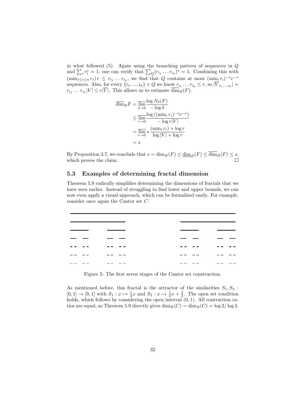in what followed  $(5)$ . Again using the branching pattern of sequences in  $Q$ and  $\sum_i r_i^s = 1$ , one can verify that  $\sum_{Q} (r_{i_1} \dots r_{i_k})^s = 1$ . Combining this with  $(\min_{1 \leq i \leq n} r_i) r \leq r_{i_1} \ldots r_{i_k}$ , we find that Q contains at most  $(\min_i r_i)^{-s} r^{-s}$ sequences. Also, for every  $\{i_1, ..., i_k\} \in Q$  we know  $r_{i_1} \ldots r_{i_k} \leq r$ , so  $|\overline{V}_{i_1, ..., i_k}|$  =  $r_{i_1} \dots r_{i_k} |V| \leq r|V|$ . This allows us to estimate  $\dim_B(F)$ .

$$
\overline{\dim}_B F = \overline{\lim}_{\delta \to 0} \frac{\log N_{\delta}(F)}{-\log \delta}
$$
  
\n
$$
\leq \overline{\lim}_{r \to 0} \frac{\log ((\min_i r_i)^{-s} r^{-s})}{-\log r |V|}
$$
  
\n
$$
= \overline{\lim}_{r \to 0} s \frac{(\min_i r_i) + \log r}{\log |V| + \log r}
$$
  
\n
$$
= s
$$

By Proposition 3.7, we conclude that  $s = \dim_H(F) \le \underline{\dim}_B(F) \le \overline{\dim}_B(F) \le s$ , which proves the claim. which proves the claim.

#### 5.3 Examples of determining fractal dimension

Theorem 5.9 radically simplifies determining the dimensions of fractals that we have seen earlier. Instead of struggling to find lower and upper bounds, we can now even apply a visual approach, which can be formalized easily. For example, consider once again the Cantor set C.

| <br>  | $\cdots$<br> | <br>  | <br> |
|-------|--------------|-------|------|
| .<br> | .<br>        | .<br> | <br> |

Figure 5: The first seven stages of the Cantor set construction.

As mentioned before, this fractal is the attractor of the similarities  $S_1, S_2$ :  $[0,1] \rightarrow [0,1]$  with  $S_1: x \mapsto \frac{1}{3}x$  and  $S_2: x \mapsto \frac{1}{3}x + \frac{2}{3}$ . The open set condition holds, which follows by considering the open interval  $(0, 1)$ . All contraction ratios are equal, so Theorem 5.9 directly gives  $\dim_H(C) = \dim_B(C) = \log 2/\log 3$ .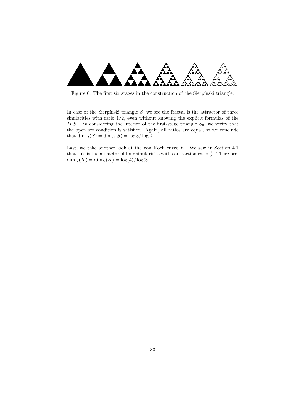

Figure 6: The first six stages in the construction of the Sierpínski triangle.

In case of the Sierpínski triangle  $S$ , we see the fractal is the attractor of three similarities with ratio  $1/2$ , even without knowing the explicit formulas of the IFS. By considering the interior of the first-stage triangle  $S_0$ , we verify that the open set condition is satisfied. Again, all ratios are equal, so we conclude that  $\dim_H(S) = \dim_B(S) = \log 3/\log 2$ .

Last, we take another look at the von Koch curve  $K$ . We saw in Section 4.1 that this is the attractor of four similarities with contraction ratio  $\frac{1}{3}$ . Therefore,  $\dim_H(K) = \dim_B(K) = \log(4)/\log(3).$